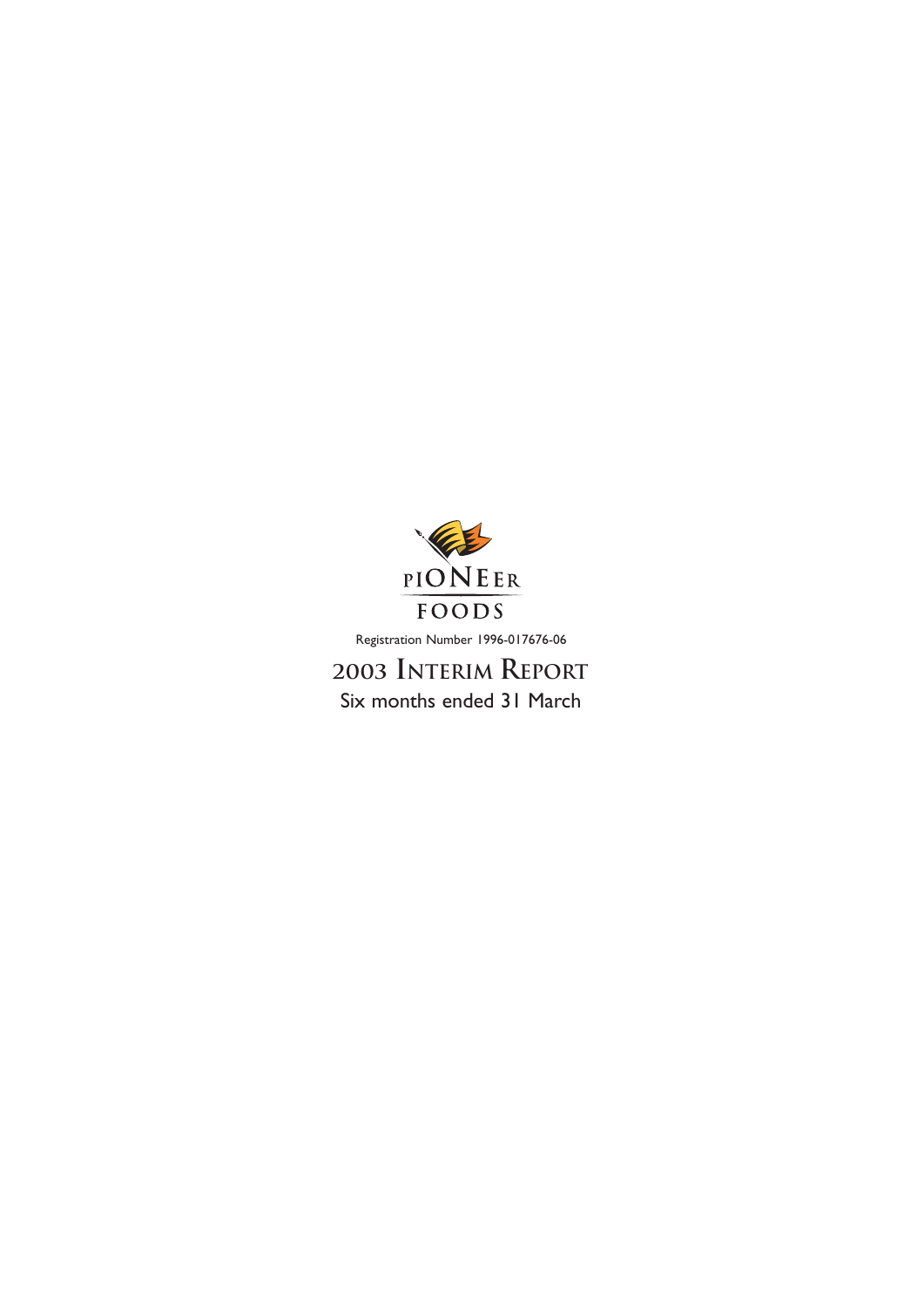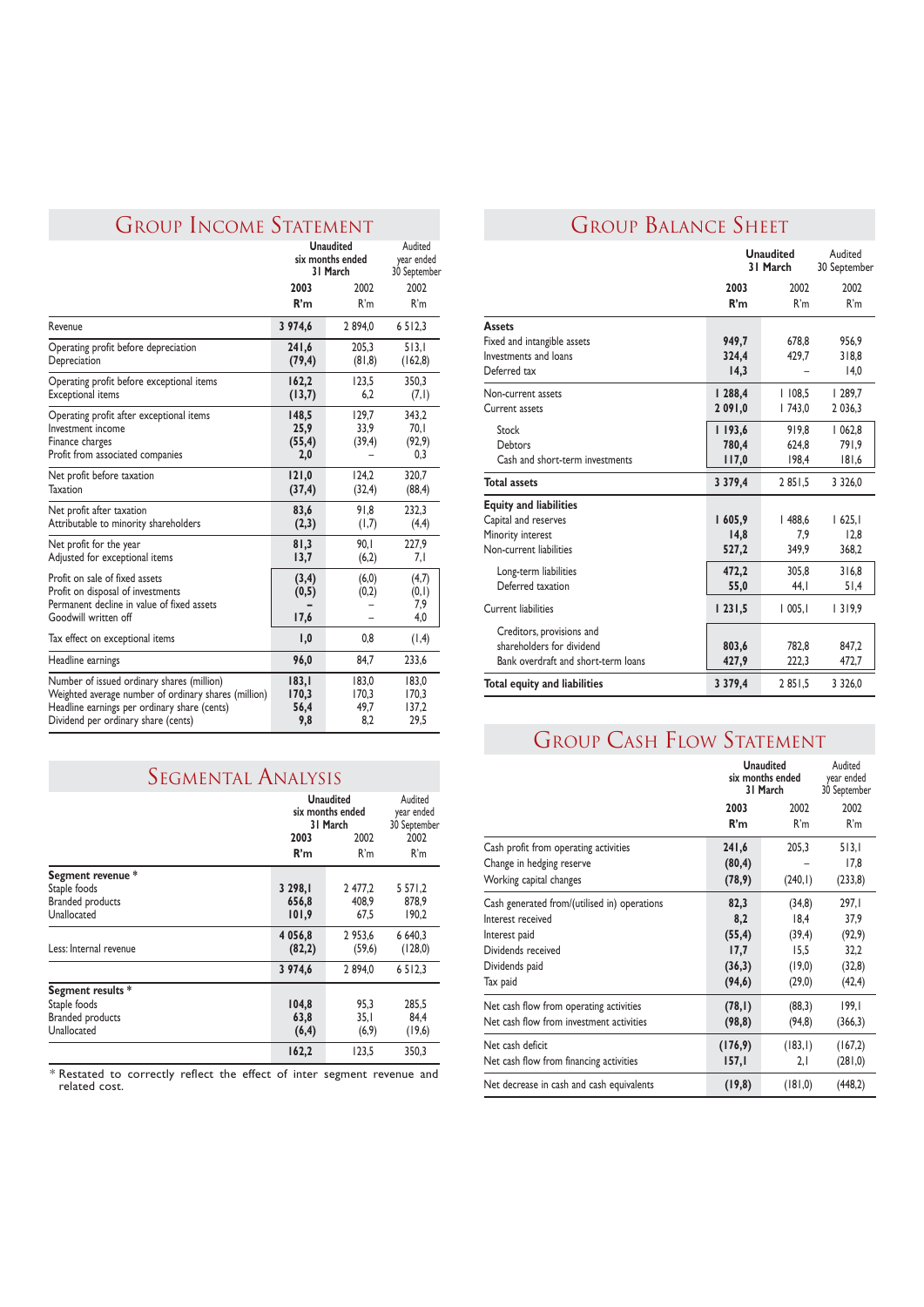### GROUP INCOME STATEMENT

|                                                                                                                                                                                           | <b>Unaudited</b><br>six months ended<br>31 March |                               | Audited<br>year ended<br>30 September |
|-------------------------------------------------------------------------------------------------------------------------------------------------------------------------------------------|--------------------------------------------------|-------------------------------|---------------------------------------|
|                                                                                                                                                                                           | 2003                                             | 2002                          | 2002                                  |
|                                                                                                                                                                                           | R'm                                              | R'm                           | R'm                                   |
| Revenue                                                                                                                                                                                   | 3 974,6                                          | 2894,0                        | 6 5 1 2, 3                            |
| Operating profit before depreciation<br>Depreciation                                                                                                                                      | 241,6<br>(79, 4)                                 | 205,3<br>(81,8)               | 513,1<br>(162, 8)                     |
| Operating profit before exceptional items<br><b>Exceptional</b> items                                                                                                                     | 162,2<br>(13,7)                                  | 123.5<br>6,2                  | 350.3<br>(7,1)                        |
| Operating profit after exceptional items<br>Investment income<br>Finance charges<br>Profit from associated companies                                                                      | 148,5<br>25,9<br>(55, 4)<br>2,0                  | 129.7<br>33.9<br>(39,4)       | 343.2<br>70.I<br>(92, 9)<br>0,3       |
| Net profit before taxation<br><b>Taxation</b>                                                                                                                                             | 121,0<br>(37, 4)                                 | 124.2<br>(32,4)               | 320.7<br>(88, 4)                      |
| Net profit after taxation<br>Attributable to minority shareholders                                                                                                                        | 83,6<br>(2,3)                                    | 91.8<br>(1,7)                 | 232,3<br>(4,4)                        |
| Net profit for the year<br>Adjusted for exceptional items                                                                                                                                 | 81,3<br>13,7                                     | 90.1<br>(6,2)                 | 227.9<br>7,1                          |
| Profit on sale of fixed assets<br>Profit on disposal of investments<br>Permanent decline in value of fixed assets<br>Goodwill written off                                                 | (3,4)<br>(0,5)<br>17,6                           | (6, 0)<br>(0,2)               | (4,7)<br>(0,1)<br>7,9<br>4,0          |
| Tax effect on exceptional items                                                                                                                                                           | 1,0                                              | 0.8                           | (1,4)                                 |
| Headline earnings                                                                                                                                                                         | 96,0                                             | 84,7                          | 233,6                                 |
| Number of issued ordinary shares (million)<br>Weighted average number of ordinary shares (million)<br>Headline earnings per ordinary share (cents)<br>Dividend per ordinary share (cents) | 183,1<br>170,3<br>56,4<br>9,8                    | 183.0<br>170.3<br>49,7<br>8,2 | 183.0<br>170.3<br>137,2<br>29,5       |

### SEGMENTAL ANALYSIS

|                                                                             | <b>Unaudited</b><br>six months ended<br>31 March |                         | Audited<br>year ended<br>30 September |
|-----------------------------------------------------------------------------|--------------------------------------------------|-------------------------|---------------------------------------|
|                                                                             | 2003<br>2002                                     |                         | 2002                                  |
|                                                                             | R'm                                              | R'm                     | R'm                                   |
| Segment revenue *<br>Staple foods<br><b>Branded products</b><br>Unallocated | 3 298, I<br>656,8<br>101,9                       | 2477.2<br>408.9<br>67.5 | 5 57 1,2<br>878,9<br>190.2            |
| Less: Internal revenue                                                      | 4 0 5 6 , 8<br>(82,2)                            | 2953,6<br>(59,6)        | 6 640.3<br>(128,0)                    |
|                                                                             | 3 974,6                                          | 2894.0                  | 6512.3                                |
| Segment results *<br>Staple foods<br><b>Branded products</b><br>Unallocated | 104,8<br>63,8<br>(6, 4)                          | 95.3<br>35,1<br>(6, 9)  | 285.5<br>84,4<br>(19,6)               |
|                                                                             | 162,2                                            | 123.5                   | 350.3                                 |

\* Restated to correctly reflect the effect of inter segment revenue and<br>
Ret decrease in cash and cash equivalents **(19,8)** (181,0) (448,2)

# GROUP BALANCE SHEET

|                                     | <b>Unaudited</b><br>31 March |        | Audited<br>30 September |
|-------------------------------------|------------------------------|--------|-------------------------|
|                                     | 2003                         | 2002   | 2002                    |
|                                     | R'm                          | R'm    | R'm                     |
| <b>Assets</b>                       |                              |        |                         |
| Fixed and intangible assets         | 949,7                        | 678.8  | 956.9                   |
| Investments and loans               | 324,4                        | 429,7  | 318,8                   |
| Deferred tax                        | 14,3                         |        | 14,0                    |
| Non-current assets                  | 1288,4                       | 1108,5 | 1289,7                  |
| Current assets                      | 2 09 1,0                     | 1743,0 | 2 0 3 6 , 3             |
| Stock                               | 1193,6                       | 919.8  | 1062,8                  |
| Debtors                             | 780,4                        | 624.8  | 791.9                   |
| Cash and short-term investments     | 117,0                        | 198,4  | 181,6                   |
| <b>Total assets</b>                 | 3 3 7 9 , 4                  | 2851.5 | 3 3 2 6 , 0             |
| <b>Equity and liabilities</b>       |                              |        |                         |
| Capital and reserves                | 1605,9                       | 1488.6 | 1625,1                  |
| Minority interest                   | 14,8                         | 7.9    | 12.8                    |
| Non-current liabilities             | 527,2                        | 349,9  | 368,2                   |
| Long-term liabilities               | 472,2                        | 305.8  | 316,8                   |
| Deferred taxation                   | 55,0                         | 44.I   | 51,4                    |
| <b>Current liabilities</b>          | 1231,5                       | 1005,1 | 1319,9                  |
| Creditors, provisions and           |                              |        |                         |
| shareholders for dividend           | 803,6                        | 782,8  | 847,2                   |
| Bank overdraft and short-term loans | 427,9                        | 222,3  | 472,7                   |
| <b>Total equity and liabilities</b> | 3 3 7 9 , 4                  | 2851.5 | 3 3 2 6 .0              |

# **GROUP CASH FLOW STATEMENT**

|                                                                                               |                             | <b>Unaudited</b><br>six months ended<br>31 March |                          |
|-----------------------------------------------------------------------------------------------|-----------------------------|--------------------------------------------------|--------------------------|
|                                                                                               | 2003                        | 2002                                             | 2002                     |
|                                                                                               | R'm                         | R'm                                              | R'm                      |
| Cash profit from operating activities<br>Change in hedging reserve<br>Working capital changes | 241,6<br>(80, 4)<br>(78, 9) | 205.3<br>(240, 1)                                | 513.1<br>17,8<br>(233,8) |
| Cash generated from/(utilised in) operations                                                  | 82,3                        | (34, 8)                                          | 297,1                    |
| Interest received                                                                             | 8,2                         | 18,4                                             | 37,9                     |
| Interest paid                                                                                 | (55, 4)                     | (39,4)                                           | (92, 9)                  |
| Dividends received                                                                            | 17,7                        | 15,5                                             | 32,2                     |
| Dividends paid                                                                                | (36,3)                      | (19,0)                                           | (32,8)                   |
| Tax paid                                                                                      | (94, 6)                     | (29,0)                                           | (42, 4)                  |
| Net cash flow from operating activities                                                       | (78, 1)                     | (88,3)                                           | 199,1                    |
| Net cash flow from investment activities                                                      | (98, 8)                     | (94, 8)                                          | (366,3)                  |
| Net cash deficit                                                                              | (176, 9)                    | (183,1)                                          | (167,2)                  |
| Net cash flow from financing activities                                                       | 157,1                       | 2,1                                              | (281, 0)                 |
| Net decrease in cash and cash equivalents                                                     | (19,8)                      | (181, 0)                                         | (448,2)                  |